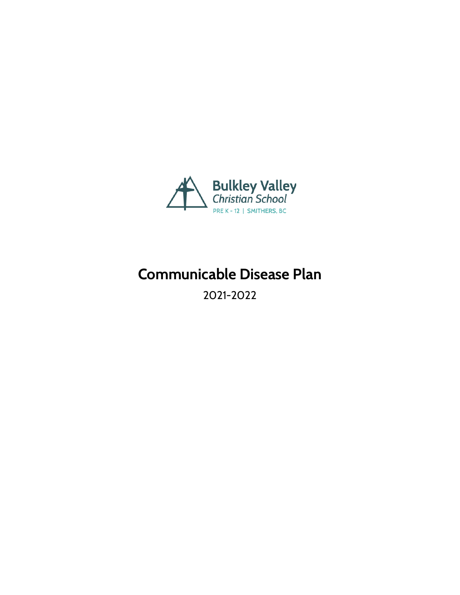

# **Communicable Disease Plan**

2021-2022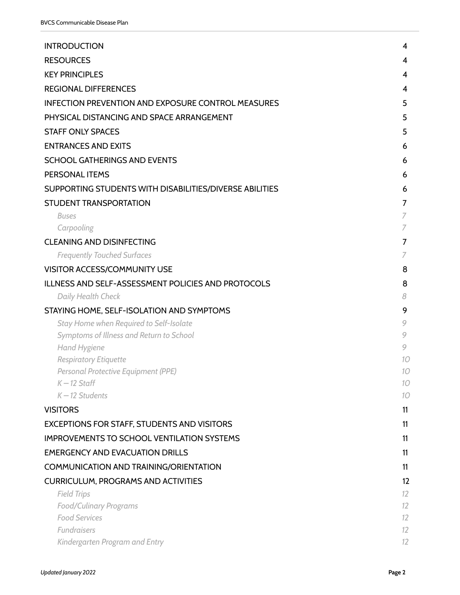| <b>INTRODUCTION</b>                                                 | 4                       |
|---------------------------------------------------------------------|-------------------------|
| <b>RESOURCES</b>                                                    | 4                       |
| <b>KEY PRINCIPLES</b>                                               | $\overline{\mathbf{4}}$ |
| <b>REGIONAL DIFFERENCES</b>                                         | 4                       |
| <b>INFECTION PREVENTION AND EXPOSURE CONTROL MEASURES</b>           | 5                       |
| PHYSICAL DISTANCING AND SPACE ARRANGEMENT                           | 5                       |
| <b>STAFF ONLY SPACES</b>                                            | 5                       |
| <b>ENTRANCES AND EXITS</b>                                          | 6                       |
| <b>SCHOOL GATHERINGS AND EVENTS</b>                                 | 6                       |
| PERSONAL ITEMS                                                      | 6                       |
| SUPPORTING STUDENTS WITH DISABILITIES/DIVERSE ABILITIES             | 6                       |
| <b>STUDENT TRANSPORTATION</b>                                       | 7                       |
| <b>Buses</b>                                                        | 7                       |
| Carpooling                                                          | 7                       |
| <b>CLEANING AND DISINFECTING</b>                                    | $\overline{7}$          |
| <b>Frequently Touched Surfaces</b>                                  | 7                       |
| VISITOR ACCESS/COMMUNITY USE                                        | 8                       |
| ILLNESS AND SELF-ASSESSMENT POLICIES AND PROTOCOLS                  | 8                       |
| Daily Health Check                                                  | 8                       |
| STAYING HOME, SELF-ISOLATION AND SYMPTOMS                           | 9                       |
| Stay Home when Required to Self-Isolate                             | 9                       |
| Symptoms of Illness and Return to School                            | 9<br>9                  |
| Hand Hygiene                                                        | 10                      |
| <b>Respiratory Etiquette</b><br>Personal Protective Equipment (PPE) | 10                      |
| $K-12$ Staff                                                        | 10                      |
| $K-12$ Students                                                     | 10                      |
| <b>VISITORS</b>                                                     | 11                      |
| <b>EXCEPTIONS FOR STAFF, STUDENTS AND VISITORS</b>                  | 11                      |
| <b>IMPROVEMENTS TO SCHOOL VENTILATION SYSTEMS</b>                   | 11                      |
| <b>EMERGENCY AND EVACUATION DRILLS</b>                              | 11                      |
| <b>COMMUNICATION AND TRAINING/ORIENTATION</b>                       | 11                      |
| <b>CURRICULUM, PROGRAMS AND ACTIVITIES</b>                          | 12                      |
| <b>Field Trips</b>                                                  | 12                      |
| <b>Food/Culinary Programs</b>                                       | 12                      |
| <b>Food Services</b>                                                | 12                      |
| Fundraisers                                                         | 12                      |
| Kindergarten Program and Entry                                      | 12                      |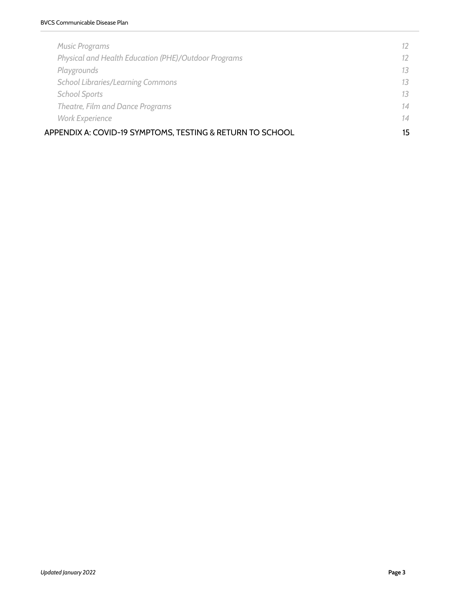| <b>Music Programs</b>                                     | $12^{\circ}$ |
|-----------------------------------------------------------|--------------|
| Physical and Health Education (PHE)/Outdoor Programs      | $12^{\circ}$ |
| Playgrounds                                               | 13           |
| <b>School Libraries/Learning Commons</b>                  | 13           |
| <b>School Sports</b>                                      | 13           |
| Theatre, Film and Dance Programs                          | 14           |
| <b>Work Experience</b>                                    | 14           |
| APPENDIX A: COVID-19 SYMPTOMS, TESTING & RETURN TO SCHOOL | 15           |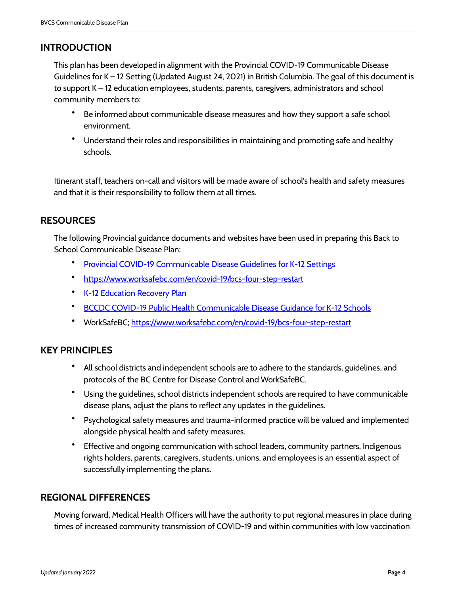## <span id="page-3-0"></span>**INTRODUCTION**

This plan has been developed in alignment with the Provincial COVID-19 Communicable Disease Guidelines for K – 12 Setting (Updated August 24, 2021) in British Columbia. The goal of this document is to support K – 12 education employees, students, parents, caregivers, administrators and school community members to:

- Be informed about communicable disease measures and how they support a safe school environment.
- Understand their roles and responsibilities in maintaining and promoting safe and healthy schools.

Itinerant staff, teachers on-call and visitors will be made aware of school's health and safety measures and that it is their responsibility to follow them at all times.

## <span id="page-3-1"></span>**RESOURCES**

The following Provincial guidance documents and websites have been used in preparing this Back to School Communicable Disease Plan:

- [Provincial COVID-19 Communicable Disease Guidelines for K-12 Settings](https://www2.gov.bc.ca/assets/gov/education/administration/kindergarten-to-grade-12/safe-caring-orderly/k-12-covid-19-health-safety-guidlines.pdf)
- <https://www.worksafebc.com/en/covid-19/bcs-four-step-restart>
- **[K-12 Education Recovery Plan](https://www2.gov.bc.ca/assets/gov/education/administration/kindergarten-to-grade-12/safe-caring-orderly/k-12-education-recovery-plan.pdf)**
- [BCCDC COVID-19 Public Health Communicable Disease Guidance for K-12 Schools](http://www.bccdc.ca/Health-Info-Site/Documents/COVID_public_guidance/Guidance-k-12-schools.pdf)
- WorkSafeBC; <https://www.worksafebc.com/en/covid-19/bcs-four-step-restart>

## <span id="page-3-2"></span>**KEY PRINCIPLES**

- All school districts and independent schools are to adhere to the standards, guidelines, and protocols of the BC Centre for Disease Control and WorkSafeBC.
- Using the guidelines, school districts independent schools are required to have communicable disease plans, adjust the plans to reflect any updates in the guidelines.
- Psychological safety measures and trauma-informed practice will be valued and implemented alongside physical health and safety measures.
- Effective and ongoing communication with school leaders, community partners, Indigenous rights holders, parents, caregivers, students, unions, and employees is an essential aspect of successfully implementing the plans.

## <span id="page-3-3"></span>**REGIONAL DIFFERENCES**

Moving forward, Medical Health Officers will have the authority to put regional measures in place during times of increased community transmission of COVID-19 and within communities with low vaccination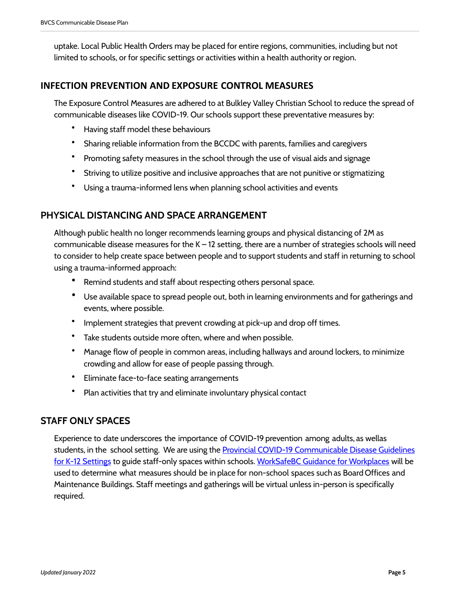uptake. Local Public Health Orders may be placed for entire regions, communities, including but not limited to schools, or for specific settings or activities within a health authority or region.

#### <span id="page-4-0"></span>**INFECTION PREVENTION AND EXPOSURE CONTROL MEASURES**

The Exposure Control Measures are adhered to at Bulkley Valley Christian School to reduce the spread of communicable diseases like COVID-19. Our schools support these preventative measures by:

- Having staff model these behaviours
- Sharing reliable information from the BCCDC with parents, families and caregivers
- Promoting safety measures in the school through the use of visual aids and signage
- Striving to utilize positive and inclusive approaches that are not punitive or stigmatizing
- Using a trauma-informed lens when planning school activities and events

## <span id="page-4-1"></span>**PHYSICAL DISTANCING AND SPACE ARRANGEMENT**

Although public health no longer recommends learning groups and physical distancing of 2M as communicable disease measures for the  $K - 12$  setting, there are a number of strategies schools will need to consider to help create space between people and to support students and staff in returning to school using a trauma-informed approach:

- Remind students and staff about respecting others personal space.
- Use available space to spread people out, both in learning environments and for gatherings and events, where possible.
- Implement strategies that prevent crowding at pick-up and drop off times.
- Take students outside more often, where and when possible.
- Manage flow of people in common areas, including hallways and around lockers, to minimize crowding and allow for ease of people passing through.
- Eliminate face-to-face seating arrangements
- Plan activities that try and eliminate involuntary physical contact

## <span id="page-4-2"></span>**STAFF ONLY SPACES**

Experience to date underscores the importance of COVID-19 prevention among adults, as wellas students, in the school setting. We are using the Provincial COVID-19 Communicable Disease Guidelines [for K-12 Settings](https://www2.gov.bc.ca/assets/gov/education/administration/kindergarten-to-grade-12/safe-caring-orderly/k-12-covid-19-health-safety-guidlines.pdf) to guide staff-only spaces within schools. [WorkSafeBC Guidance for Workplaces](https://www.worksafebc.com/en/about-us/news-events/announcements/2020/March/covid-19-and-the-workplace) will be used to determine what measures should be in place for non-school spaces such as Board Offices and Maintenance Buildings. Staff meetings and gatherings will be virtual unless in-person is specifically required.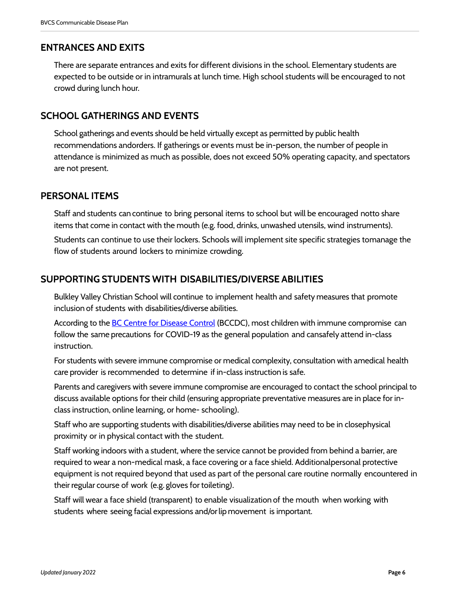## <span id="page-5-0"></span>**ENTRANCES AND EXITS**

There are separate entrances and exits for different divisions in the school. Elementary students are expected to be outside or in intramurals at lunch time. High school students will be encouraged to not crowd during lunch hour.

## <span id="page-5-1"></span>**SCHOOL GATHERINGS AND EVENTS**

School gatherings and events should be held virtually except as permitted by public health recommendations andorders. If gatherings or events must be in-person, the number of people in attendance is minimized as much as possible, does not exceed 50% operating capacity, and spectators are not present.

#### <span id="page-5-2"></span>**PERSONAL ITEMS**

Staff and students can continue to bring personal items to school but will be encouraged notto share items that come in contact with the mouth (e.g. food, drinks, unwashed utensils, wind instruments).

Students can continue to use their lockers. Schools will implement site specific strategies tomanage the flow of students around lockers to minimize crowding.

## <span id="page-5-3"></span>**SUPPORTING STUDENTS WITH DISABILITIES/DIVERSE ABILITIES**

Bulkley Valley Christian School will continue to implement health and safety measures that promote inclusion of students with disabilities/diverse abilities.

According to the [BC Centre for Disease Control](http://www.bccdc.ca/) (BCCDC), most children with immune compromise can follow the same precautions for COVID-19 as the general population and cansafely attend in-class instruction.

For students with severe immune compromise or medical complexity, consultation with amedical health care provider is recommended to determine if in-class instruction is safe.

Parents and caregivers with severe immune compromise are encouraged to contact the school principal to discuss available options for their child (ensuring appropriate preventative measures are in place for inclass instruction, online learning, or home- schooling).

Staff who are supporting students with disabilities/diverse abilities may need to be in closephysical proximity or in physical contact with the student.

Staff working indoors with a student, where the service cannot be provided from behind a barrier, are required to wear a non-medical mask, a face covering or a face shield. Additionalpersonal protective equipment is not required beyond that used as part of the personal care routine normally encountered in their regular course of work (e.g. gloves for toileting).

Staff will wear a face shield (transparent) to enable visualization of the mouth when working with students where seeing facial expressions and/orlip movement is important.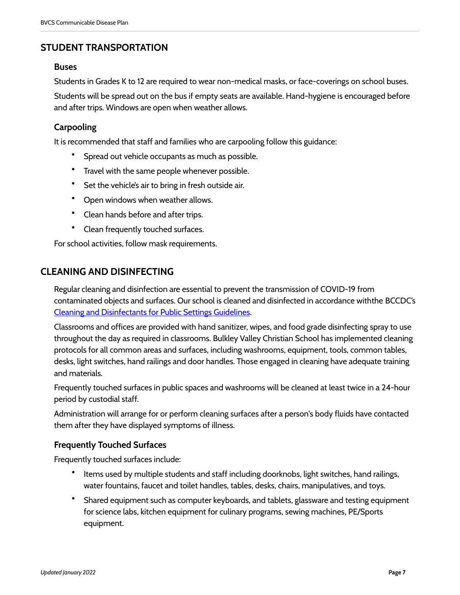## <span id="page-6-0"></span>**STUDENT TRANSPORTATION**

#### <span id="page-6-1"></span>**Buses**

Students in Grades K to 12 are required to wear non-medical masks, or face-coverings on school buses.

Students will be spread out on the bus if empty seats are available. Hand-hygiene is encouraged before and after trips. Windows are open when weather allows.

#### <span id="page-6-2"></span>**Carpooling**

It is recommended that staff and families who are carpooling follow this guidance:

- Spread out vehicle occupants as much as possible.
- Travel with the same people whenever possible.
- Set the vehicle's air to bring in fresh outside air.
- Open windows when weather allows.
- Clean hands before and after trips.
- Clean frequently touched surfaces.

For school activities, follow mask requirements.

#### <span id="page-6-3"></span>**CLEANING AND DISINFECTING**

Regular cleaning and disinfection are essential to prevent the transmission of COVID-19 from contaminated objects and surfaces. Our school is cleaned and disinfected in accordance withthe BCCDC's [Cleaning and Disinfectants for Public Settings Guidelines.](http://www.bccdc.ca/health-info/diseases-conditions/covid-19/prevention-risks/cleaning-and-disinfecting)

Classrooms and offices are provided with hand sanitizer, wipes, and food grade disinfecting spray to use throughout the day as required in classrooms. Bulkley Valley Christian School has implemented cleaning protocols for all common areas and surfaces, including washrooms, equipment, tools, common tables, desks, light switches, hand railings and door handles. Those engaged in cleaning have adequate training and materials.

Frequently touched surfaces in public spaces and washrooms will be cleaned at least twice in a 24-hour period by custodial staff.

Administration will arrange for or perform cleaning surfaces after a person's body fluids have contacted them after they have displayed symptoms of illness.

#### <span id="page-6-4"></span>**Frequently Touched Surfaces**

Frequently touched surfaces include:

- Items used by multiple students and staff including doorknobs, light switches, hand railings, water fountains, faucet and toilet handles, tables, desks, chairs, manipulatives, and toys.
- Shared equipment such as computer keyboards, and tablets, glassware and testing equipment for science labs, kitchen equipment for culinary programs, sewing machines, PE/Sports equipment.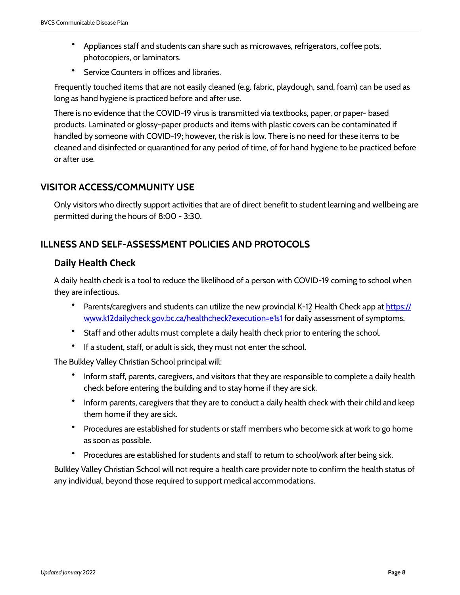- Appliances staff and students can share such as microwaves, refrigerators, coffee pots, photocopiers, or laminators.
- Service Counters in offices and libraries.

Frequently touched items that are not easily cleaned (e.g. fabric, playdough, sand, foam) can be used as long as hand hygiene is practiced before and after use.

There is no evidence that the COVID-19 virus is transmitted via textbooks, paper, or paper- based products. Laminated or glossy-paper products and items with plastic covers can be contaminated if handled by someone with COVID-19; however, the risk is low. There is no need for these items to be cleaned and disinfected or quarantined for any period of time, of for hand hygiene to be practiced before or after use.

## <span id="page-7-0"></span>**VISITOR ACCESS/COMMUNITY USE**

Only visitors who directly support activities that are of direct benefit to student learning and wellbeing are permitted during the hours of 8:00 - 3:30.

## <span id="page-7-1"></span>**ILLNESS AND SELF-ASSESSMENT POLICIES AND PROTOCOLS**

## <span id="page-7-2"></span>**Daily Health Check**

A daily health check is a tool to reduce the likelihood of a person with COVID-19 coming to school when they are infectious.

- Parents/caregivers and students can utilize the new provincial K-12 Health Check app at [https://](https://www.k12dailycheck.gov.bc.ca/healthcheck?execution=e1s1) [www.k12dailycheck.gov.bc.ca/healthcheck?execution=e1s1](https://www.k12dailycheck.gov.bc.ca/healthcheck?execution=e1s1) for daily assessment of symptoms.
- Staff and other adults must complete a daily health check prior to entering the school.
- If a student, staff, or adult is sick, they must not enter the school.

The Bulkley Valley Christian School principal will:

- Inform staff, parents, caregivers, and visitors that they are responsible to complete a daily health check before entering the building and to stay home if they are sick.
- Inform parents, caregivers that they are to conduct a daily health check with their child and keep them home if they are sick.
- Procedures are established for students or staff members who become sick at work to go home as soon as possible.
- Procedures are established for students and staff to return to school/work after being sick.

Bulkley Valley Christian School will not require a health care provider note to confirm the health status of any individual, beyond those required to support medical accommodations.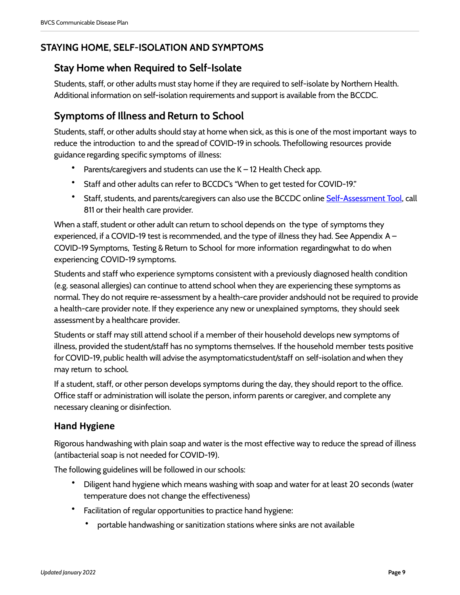## <span id="page-8-0"></span>**STAYING HOME, SELF-ISOLATION AND SYMPTOMS**

# <span id="page-8-1"></span>**Stay Home when Required to Self-Isolate**

Students, staff, or other adults must stay home if they are required to self-isolate by Northern Health. Additional information on self-isolation requirements and support is available from the BCCDC.

# <span id="page-8-2"></span>**Symptoms of Illness and Return to School**

Students, staff, or other adults should stay at home when sick, as this is one of the most important ways to reduce the introduction to and the spread of COVID-19 in schools. Thefollowing resources provide guidance regarding specific symptoms of illness:

- Parents/caregivers and students can use the  $K 12$  Health Check app.
- Staff and other adults can refer to BCCDC's "When to get tested for COVID-19."
- Staff, students, and parents/caregivers can also use the BCCDC online [Self-Assessment Tool](https://bc.thrive.health/), call 811 or their health care provider.

When a staff, student or other adult can return to school depends on the type of symptoms they experienced, if a COVID-19 test is recommended, and the type of illness they had. See Appendix A – COVID-19 Symptoms, Testing & Return to School for more information regardingwhat to do when experiencing COVID-19 symptoms.

Students and staff who experience symptoms consistent with a previously diagnosed health condition (e.g. seasonal allergies) can continue to attend school when they are experiencing these symptoms as normal. They do not require re-assessment by a health-care provider andshould not be required to provide a health-care provider note. If they experience any new or unexplained symptoms, they should seek assessment by a healthcare provider.

Students or staff may still attend school if a member of their household develops new symptoms of illness, provided the student/staff has no symptoms themselves. If the household member tests positive for COVID-19, public health will advise the asymptomaticstudent/staff on self-isolation and when they may return to school.

If a student, staff, or other person develops symptoms during the day, they should report to the office. Office staff or administration will isolate the person, inform parents or caregiver, and complete any necessary cleaning or disinfection.

## <span id="page-8-3"></span>**Hand Hygiene**

Rigorous handwashing with plain soap and water is the most effective way to reduce the spread of illness (antibacterial soap is not needed for COVID-19).

The following guidelines will be followed in our schools:

- Diligent hand hygiene which means washing with soap and water for at least 20 seconds (water temperature does not change the effectiveness)
- Facilitation of regular opportunities to practice hand hygiene:
	- portable handwashing or sanitization stations where sinks are not available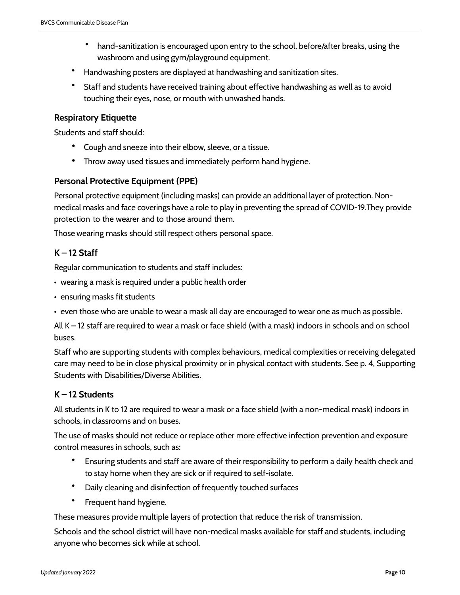- hand-sanitization is encouraged upon entry to the school, before/after breaks, using the washroom and using gym/playground equipment.
- Handwashing posters are displayed at handwashing and sanitization sites.
- Staff and students have received training about effective handwashing as well as to avoid touching their eyes, nose, or mouth with unwashed hands.

#### <span id="page-9-0"></span>**Respiratory Etiquette**

Students and staff should:

- Cough and sneeze into their elbow, sleeve, or a tissue.
- Throw away used tissues and immediately perform hand hygiene.

#### <span id="page-9-1"></span>**Personal Protective Equipment (PPE)**

Personal protective equipment (including masks) can provide an additional layer of protection. Nonmedical masks and face coverings have a role to play in preventing the spread of COVID-19.They provide protection to the wearer and to those around them.

Those wearing masks should still respect others personal space.

#### <span id="page-9-2"></span>**K – 12 Staff**

Regular communication to students and staff includes:

- wearing a mask is required under a public health order
- ensuring masks fit students
- even those who are unable to wear a mask all day are encouraged to wear one as much as possible.

All K – 12 staff are required to wear a mask or face shield (with a mask) indoors in schools and on school buses.

Staff who are supporting students with complex behaviours, medical complexities or receiving delegated care may need to be in close physical proximity or in physical contact with students. See p. 4, Supporting Students with Disabilities/Diverse Abilities.

#### <span id="page-9-3"></span>**K – 12 Students**

All students in K to 12 are required to wear a mask or a face shield (with a non-medical mask) indoors in schools, in classrooms and on buses.

The use of masks should not reduce or replace other more effective infection prevention and exposure control measures in schools, such as:

- Ensuring students and staff are aware of their responsibility to perform a daily health check and to stay home when they are sick or if required to self-isolate.
- Daily cleaning and disinfection of frequently touched surfaces
- Frequent hand hygiene.

These measures provide multiple layers of protection that reduce the risk of transmission.

Schools and the school district will have non-medical masks available for staff and students, including anyone who becomes sick while at school.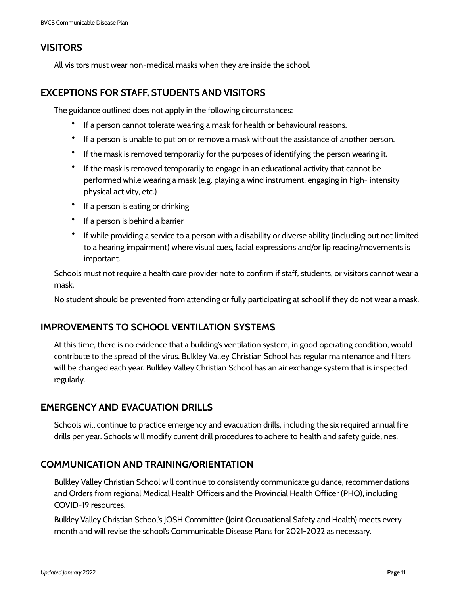## <span id="page-10-0"></span>**VISITORS**

All visitors must wear non-medical masks when they are inside the school.

## <span id="page-10-1"></span>**EXCEPTIONS FOR STAFF, STUDENTS AND VISITORS**

The guidance outlined does not apply in the following circumstances:

- If a person cannot tolerate wearing a mask for health or behavioural reasons.
- If a person is unable to put on or remove a mask without the assistance of another person.
- If the mask is removed temporarily for the purposes of identifying the person wearing it.
- If the mask is removed temporarily to engage in an educational activity that cannot be performed while wearing a mask (e.g. playing a wind instrument, engaging in high- intensity physical activity, etc.)
- If a person is eating or drinking
- If a person is behind a barrier
- If while providing a service to a person with a disability or diverse ability (including but not limited to a hearing impairment) where visual cues, facial expressions and/or lip reading/movements is important.

Schools must not require a health care provider note to confirm if staff, students, or visitors cannot wear a mask.

No student should be prevented from attending or fully participating at school if they do not wear a mask.

## <span id="page-10-2"></span>**IMPROVEMENTS TO SCHOOL VENTILATION SYSTEMS**

At this time, there is no evidence that a building's ventilation system, in good operating condition, would contribute to the spread of the virus. Bulkley Valley Christian School has regular maintenance and filters will be changed each year. Bulkley Valley Christian School has an air exchange system that is inspected regularly.

## <span id="page-10-3"></span>**EMERGENCY AND EVACUATION DRILLS**

Schools will continue to practice emergency and evacuation drills, including the six required annual fire drills per year. Schools will modify current drill procedures to adhere to health and safety guidelines.

## <span id="page-10-4"></span>**COMMUNICATION AND TRAINING/ORIENTATION**

Bulkley Valley Christian School will continue to consistently communicate guidance, recommendations and Orders from regional Medical Health Officers and the Provincial Health Officer (PHO), including COVID-19 resources.

Bulkley Valley Christian School's JOSH Committee (Joint Occupational Safety and Health) meets every month and will revise the school's Communicable Disease Plans for 2021-2022 as necessary.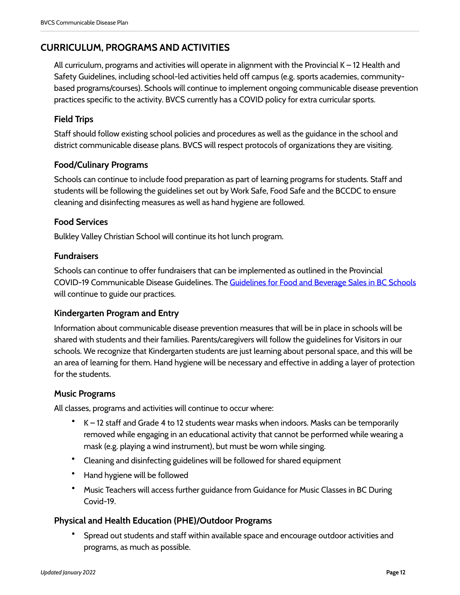## <span id="page-11-0"></span>**CURRICULUM, PROGRAMS AND ACTIVITIES**

All curriculum, programs and activities will operate in alignment with the Provincial  $K - 12$  Health and Safety Guidelines, including school-led activities held off campus (e.g. sports academies, communitybased programs/courses). Schools will continue to implement ongoing communicable disease prevention practices specific to the activity. BVCS currently has a COVID policy for extra curricular sports.

## <span id="page-11-1"></span>**Field Trips**

Staff should follow existing school policies and procedures as well as the guidance in the school and district communicable disease plans. BVCS will respect protocols of organizations they are visiting.

## <span id="page-11-2"></span>**Food/Culinary Programs**

Schools can continue to include food preparation as part of learning programs for students. Staff and students will be following the guidelines set out by Work Safe, Food Safe and the BCCDC to ensure cleaning and disinfecting measures as well as hand hygiene are followed.

#### <span id="page-11-3"></span>**Food Services**

Bulkley Valley Christian School will continue its hot lunch program.

#### <span id="page-11-4"></span>**Fundraisers**

Schools can continue to offer fundraisers that can be implemented as outlined in the Provincial COVID-19 Communicable Disease Guidelines. The [Guidelines for Food and Beverage Sales in BC Schools](https://www2.gov.bc.ca/gov/content/education-training/k-12/administration/legislation-policy/public-schools/the-guidelines-for-food-and-beverage-sales-in-bc-schools) will continue to guide our practices.

#### <span id="page-11-5"></span>**Kindergarten Program and Entry**

Information about communicable disease prevention measures that will be in place in schools will be shared with students and their families. Parents/caregivers will follow the guidelines for Visitors in our schools. We recognize that Kindergarten students are just learning about personal space, and this will be an area of learning for them. Hand hygiene will be necessary and effective in adding a layer of protection for the students.

#### <span id="page-11-6"></span>**Music Programs**

All classes, programs and activities will continue to occur where:

- $K 12$  staff and Grade 4 to 12 students wear masks when indoors. Masks can be temporarily removed while engaging in an educational activity that cannot be performed while wearing a mask (e.g. playing a wind instrument), but must be worn while singing.
- Cleaning and disinfecting guidelines will be followed for shared equipment
- Hand hygiene will be followed
- Music Teachers will access further guidance from Guidance for Music Classes in BC During Covid-19.

#### <span id="page-11-7"></span>**Physical and Health Education (PHE)/Outdoor Programs**

• Spread out students and staff within available space and encourage outdoor activities and programs, as much as possible.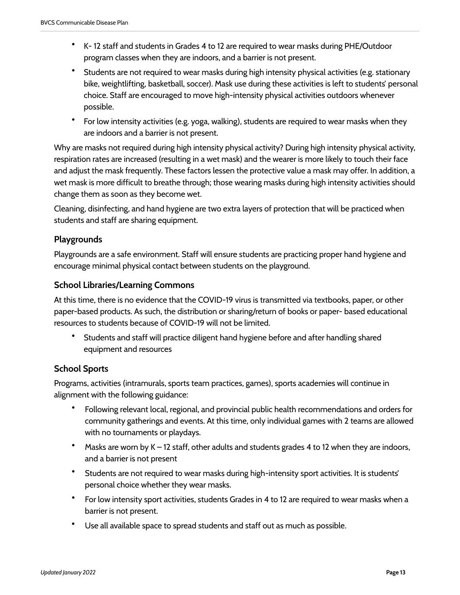- K- 12 staff and students in Grades 4 to 12 are required to wear masks during PHE/Outdoor program classes when they are indoors, and a barrier is not present.
- Students are not required to wear masks during high intensity physical activities (e.g. stationary bike, weightlifting, basketball, soccer). Mask use during these activities is left to students' personal choice. Staff are encouraged to move high-intensity physical activities outdoors whenever possible.
- For low intensity activities (e.g. yoga, walking), students are required to wear masks when they are indoors and a barrier is not present.

Why are masks not required during high intensity physical activity? During high intensity physical activity, respiration rates are increased (resulting in a wet mask) and the wearer is more likely to touch their face and adjust the mask frequently. These factors lessen the protective value a mask may offer. In addition, a wet mask is more difficult to breathe through; those wearing masks during high intensity activities should change them as soon as they become wet.

Cleaning, disinfecting, and hand hygiene are two extra layers of protection that will be practiced when students and staff are sharing equipment.

#### <span id="page-12-0"></span>**Playgrounds**

Playgrounds are a safe environment. Staff will ensure students are practicing proper hand hygiene and encourage minimal physical contact between students on the playground.

#### <span id="page-12-1"></span>**School Libraries/Learning Commons**

At this time, there is no evidence that the COVID-19 virus is transmitted via textbooks, paper, or other paper-based products. As such, the distribution or sharing/return of books or paper- based educational resources to students because of COVID-19 will not be limited.

• Students and staff will practice diligent hand hygiene before and after handling shared equipment and resources

## <span id="page-12-2"></span>**School Sports**

Programs, activities (intramurals, sports team practices, games), sports academies will continue in alignment with the following guidance:

- Following relevant local, regional, and provincial public health recommendations and orders for community gatherings and events. At this time, only individual games with 2 teams are allowed with no tournaments or playdays.
- Masks are worn by  $K 12$  staff, other adults and students grades 4 to 12 when they are indoors, and a barrier is not present
- Students are not required to wear masks during high-intensity sport activities. It is students' personal choice whether they wear masks.
- For low intensity sport activities, students Grades in 4 to 12 are required to wear masks when a barrier is not present.
- Use all available space to spread students and staff out as much as possible.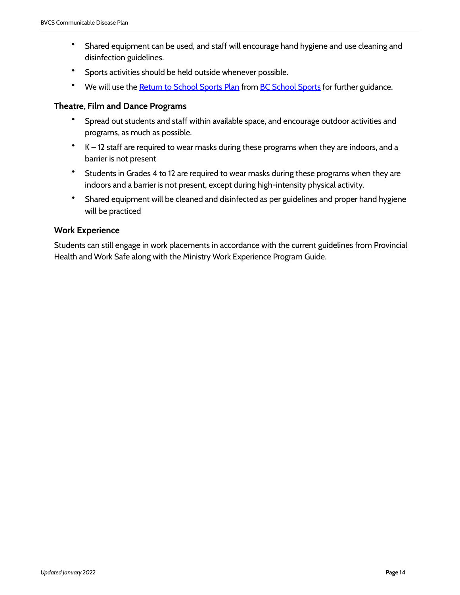- Shared equipment can be used, and staff will encourage hand hygiene and use cleaning and disinfection guidelines.
- Sports activities should be held outside whenever possible.
- We will use the [Return to School Sports Plan](https://www.bcschoolsports.ca/news/bcss-return-school-sport-plan) from [BC School Sports](https://www.bcschoolsports.ca/) for further guidance.

#### <span id="page-13-0"></span>**Theatre, Film and Dance Programs**

- Spread out students and staff within available space, and encourage outdoor activities and programs, as much as possible.
- K 12 staff are required to wear masks during these programs when they are indoors, and a barrier is not present
- Students in Grades 4 to 12 are required to wear masks during these programs when they are indoors and a barrier is not present, except during high-intensity physical activity.
- Shared equipment will be cleaned and disinfected as per guidelines and proper hand hygiene will be practiced

#### <span id="page-13-1"></span>**Work Experience**

Students can still engage in work placements in accordance with the current guidelines from Provincial Health and Work Safe along with the Ministry Work Experience Program Guide.